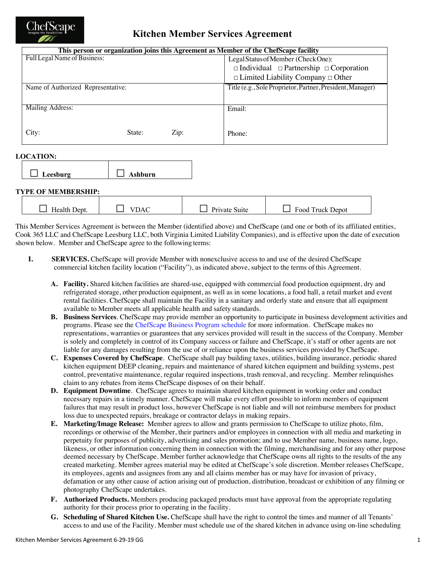

# **Kitchen Member Services Agreement**

| This person or organization joins this Agreement as Member of the ChefScape facility |                |                                    |                                                            |  |  |
|--------------------------------------------------------------------------------------|----------------|------------------------------------|------------------------------------------------------------|--|--|
| Full Legal Name of Business:                                                         |                | Legal Status of Member (CheckOne): |                                                            |  |  |
|                                                                                      |                |                                    | $\Box$ Individual $\Box$ Partnership $\Box$ Corporation    |  |  |
|                                                                                      |                |                                    | $\Box$ Limited Liability Company $\Box$ Other              |  |  |
| Name of Authorized Representative:                                                   |                |                                    | Title (e.g., Sole Proprietor, Partner, President, Manager) |  |  |
|                                                                                      |                |                                    |                                                            |  |  |
| Mailing Address:                                                                     |                |                                    | Email:                                                     |  |  |
|                                                                                      |                |                                    |                                                            |  |  |
| City:                                                                                | State:         | Zip:                               |                                                            |  |  |
|                                                                                      |                |                                    | Phone:                                                     |  |  |
|                                                                                      |                |                                    |                                                            |  |  |
| <b>LOCATION:</b>                                                                     |                |                                    |                                                            |  |  |
|                                                                                      |                |                                    |                                                            |  |  |
| Leesburg                                                                             | <b>Ashburn</b> |                                    |                                                            |  |  |
|                                                                                      |                |                                    |                                                            |  |  |
| <b>TYPE OF MEMBERSHIP:</b>                                                           |                |                                    |                                                            |  |  |

| Health I<br>Jept. | 'DAO | Private Suite | Food Truck Depot |
|-------------------|------|---------------|------------------|
|                   |      |               |                  |

This Member Services Agreement is between the Member (identified above) and ChefScape (and one or both of its affiliated entities, Cook 365 LLC and ChefScape Leesburg LLC, both Virginia Limited Liability Companies), and is effective upon the date of execution shown below. Member and ChefScape agree to the following terms:

- **I. SERVICES.** ChefScape will provide Member with nonexclusive access to and use of the desired ChefScape commercial kitchen facility location ("Facility"), as indicated above, subject to the terms ofthis Agreement.
	- **A. Facility.** Shared kitchen facilities are shared-use, equipped with commercial food production equipment, dry and refrigerated storage, other production equipment, as well as in some locations, a food hall, a retail market and event rental facilities. ChefScape shall maintain the Facility in a sanitary and orderly state and ensure that all equipment available to Member meets all applicable health and safety standards.
	- **B. Business Services**. ChefScape may provide member an opportunity to participate in business development activities and programs. Please see the ChefScape Business Program schedule for more information. ChefScape makes no representations, warranties or guarantees that any services provided will result in the success of the Company. Member is solely and completely in control of its Company success or failure and ChefScape, it's staff or other agents are not liable for any damages resulting from the use of or reliance upon the business services provided by ChefScape.
	- **C. Expenses Covered by ChefScape**. ChefScape shall pay building taxes, utilities, building insurance, periodic shared kitchen equipment DEEP cleaning, repairs and maintenance of shared kitchen equipment and building systems, pest control, preventative maintenance, regular required inspections, trash removal, and recycling. Member relinquishes claim to any rebates from items ChefScape disposes of on their behalf.
	- **D. Equipment Downtime**. ChefScape agrees to maintain shared kitchen equipment in working order and conduct necessary repairs in a timely manner. ChefScape will make every effort possible to inform members of equipment failures that may result in product loss, however ChefScape is not liable and will not reimburse members for product loss due to unexpected repairs, breakage or contractor delays in making repairs.
	- **E. Marketing/Image Release:** Member agrees to allow and grants permission to ChefScape to utilize photo, film, recordings or otherwise of the Member, their partners and/or employees in connection with all media and marketing in perpetuity for purposes of publicity, advertising and sales promotion; and to use Member name, business name, logo, likeness, or other information concerning them in connection with the filming, merchandising and for any other purpose deemed necessary by ChefScape. Member further acknowledge that ChefScape owns all rights to the results of the any created marketing. Member agrees material may be edited at ChefScape's sole discretion. Member releases ChefScape, its employees, agents and assignees from any and all claims member has or may have for invasion of privacy, defamation or any other cause of action arising out of production, distribution, broadcast or exhibition of any filming or photography ChefScape undertakes.
	- **F. Authorized Products.** Members producing packaged products must have approval from the appropriate regulating authority for their process prior to operating in the facility.
	- **G. Scheduling of Shared Kitchen Use.** ChefScape shall have the right to control the times and manner of all Tenants' access to and use of the Facility. Member must schedule use of the shared kitchen in advance using on-line scheduling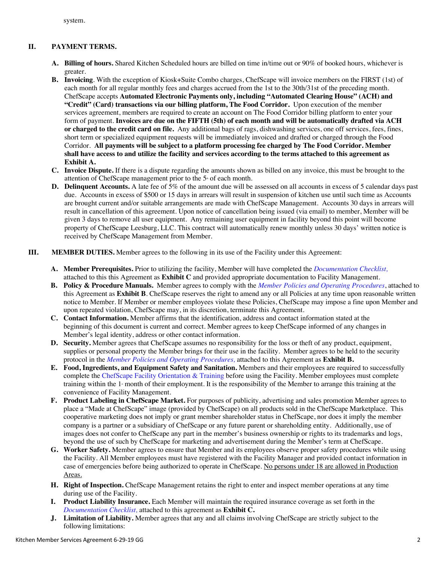system.

## **II. PAYMENT TERMS.**

- **A. Billing of hours.** Shared Kitchen Scheduled hours are billed on time in/time out or 90% of booked hours, whichever is greater.
- **B. Invoicing**. With the exception of Kiosk+Suite Combo charges, ChefScape will invoice members on the FIRST (1st) of each month for all regular monthly fees and charges accrued from the 1st to the 30th/31st of the preceding month. ChefScape accepts **Automated Electronic Payments only, including "Automated Clearing House" (ACH) and "Credit" (Card) transactions via our billing platform, The Food Corridor.** Upon execution of the member services agreement, members are required to create an account on The Food Corridor billing platform to enter your form of payment. **Invoices are due on the FIFTH (5th) of each month and will be automatically drafted via ACH or charged to the credit card on file.** Any additional bags of rags, dishwashing services, one off services, fees, fines, short term or specialized equipment requests will be immediately invoiced and drafted or charged through the Food Corridor. **All payments will be subject to a platform processing fee charged by The Food Corridor. Member shall have access to and utilize the facility and services according to the terms attached to this agreement as Exhibit A.**
- **C. Invoice Dispute.** If there is a dispute regarding the amounts shown as billed on any invoice, this must be brought to the attention of ChefScape management prior to the 5<sup>th</sup> of each month.
- **D. Delinquent Accounts.** A late fee of 5% of the amount due will be assessed on all accounts in excess of 5 calendar days past due. Accounts in excess of \$500 or 15 days in arrears will result in suspension of kitchen use until such time as Accounts are brought current and/or suitable arrangements are made with ChefScape Management. Accounts 30 days in arrears will result in cancellation of this agreement. Upon notice of cancellation being issued (via email) to member, Member will be given 3 days to remove all user equipment. Any remaining user equipment in facility beyond this point will become property of ChefScape Leesburg, LLC. This contract will automatically renew monthly unless 30 days' written notice is received by ChefScape Management from Member.
- **III. MEMBER DUTIES.** Member agrees to the following in its use of the Facility under this Agreement:
	- **A. Member Prerequisites.** Prior to utilizing the facility, Member will have completed the *Documentation Checklist,*  attached to this this Agreement as **Exhibit C** and provided appropriate documentation to Facility Management.
	- **B. Policy & Procedure Manuals.** Member agrees to comply with the *Member Policies and Operating Procedures*, attached to this Agreement as **Exhibit B**. ChefScape reserves the right to amend any or all Policies at any time upon reasonable written notice to Member. If Member or member employees violate these Policies, ChefScape may impose a fine upon Member and upon repeated violation, ChefScape may, in its discretion, terminate this Agreement.
	- **C. Contact Information.** Member affirms that the identification, address and contact information stated at the beginning of this document is current and correct. Member agrees to keep ChefScape informed of any changes in Member's legal identity, address or other contact information.
	- **D. Security.** Member agrees that ChefScape assumes no responsibility for the loss or theft of any product, equipment, supplies or personal property the Member brings for their use in the facility. Member agrees to be held to the security protocol in the *Member Policies and Operating Procedures,* attached to this Agreement as **Exhibit B.**
	- **E. Food, Ingredients, and Equipment Safety and Sanitation.** Members and their employees are required to successfully complete the ChefScape Facility Orientation & Training before using the Facility. Member employees must complete training within the 1<sup>s</sup> month of their employment. It is the responsibility of the Member to arrange this training at the convenience of Facility Management.
	- **F. Product Labeling in ChefScape Market.** For purposes of publicity, advertising and sales promotion Member agrees to place a "Made at ChefScape" image (provided by ChefScape) on all products sold in the ChefScape Marketplace. This cooperative marketing does not imply or grant member shareholder status in ChefScape, nor does it imply the member company is a partner or a subsidiary of ChefScape or any future parent or shareholding entity. Additionally, use of images does not confer to ChefScape any part in the member's business ownership or rights to its trademarks and logs, beyond the use of such by ChefScape for marketing and advertisement during the Member's term at ChefScape.
	- **G. Worker Safety.** Member agrees to ensure that Member and its employees observe proper safety procedures while using the Facility. All Member employees must have registered with the Facility Manager and provided contact information in case of emergencies before being authorized to operate in ChefScape. No persons under 18 are allowed in Production Areas.
	- **H. Right of Inspection.** ChefScape Management retains the right to enter and inspect member operations at any time during use of the Facility.
	- **I. Product Liability Insurance.** Each Member will maintain the required insurance coverage as set forth in the *Documentation Checklist,* attached to this agreement as **Exhibit C.**
	- **J. Limitation of Liability.** Member agrees that any and all claims involving ChefScape are strictly subject to the following limitations: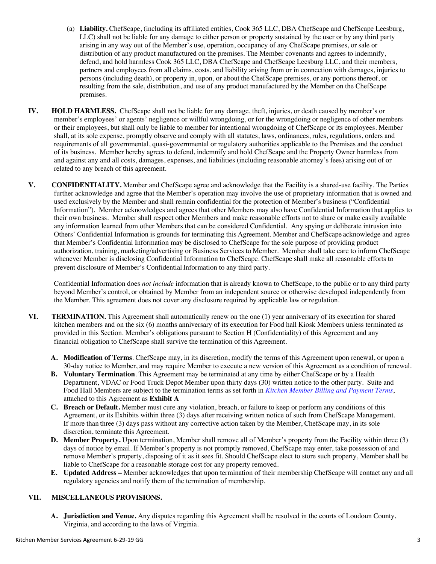- (a) **Liability.** ChefScape, (including its affiliated entities, Cook 365 LLC, DBA ChefScape and ChefScape Leesburg, LLC) shall not be liable for any damage to either person or property sustained by the user or by any third party arising in any way out of the Member's use, operation, occupancy of any ChefScape premises, or sale or distribution of any product manufactured on the premises. The Member covenants and agrees to indemnify, defend, and hold harmless Cook 365 LLC, DBA ChefScape and ChefScape Leesburg LLC, and their members, partners and employees from all claims, costs, and liability arising from or in connection with damages, injuries to persons (including death), or property in, upon, or about the ChefScape premises, or any portions thereof, or resulting from the sale, distribution, and use of any product manufactured by the Member on the ChefScape premises.
- **IV. HOLD HARMLESS.** ChefScape shall not be liable for any damage, theft, injuries, or death caused by member's or member's employees' or agents' negligence or willful wrongdoing, or for the wrongdoing or negligence of other members or their employees, but shall only be liable to member for intentional wrongdoing of ChefScape or its employees. Member shall, at its sole expense, promptly observe and comply with all statutes, laws, ordinances, rules, regulations, orders and requirements of all governmental, quasi-governmental or regulatory authorities applicable to the Premises and the conduct of its business. Member hereby agrees to defend, indemnify and hold ChefScape and the Property Owner harmless from and against any and all costs, damages, expenses, and liabilities (including reasonable attorney's fees) arising out of or related to any breach of this agreement.
- **V. CONFIDENTIALITY.** Member and ChefScape agree and acknowledge that the Facility is a shared-use facility. The Parties further acknowledge and agree that the Member's operation may involve the use of proprietary information that is owned and used exclusively by the Member and shall remain confidential for the protection of Member's business ("Confidential Information"). Member acknowledges and agrees that other Members may also have Confidential Information that applies to their own business. Member shall respect other Members and make reasonable efforts not to share or make easily available any information learned from other Members that can be considered Confidential. Any spying or deliberate intrusion into Others' Confidential Information is grounds for terminating this Agreement. Member and ChefScape acknowledge and agree that Member's Confidential Information may be disclosed to ChefScape for the sole purpose of providing product authorization, training, marketing/advertising or Business Services to Member. Member shall take care to inform ChefScape whenever Member is disclosing Confidential Information to ChefScape. ChefScape shall make all reasonable efforts to prevent disclosure of Member's Confidential Information to any third party.

Confidential Information does *not include* information that is already known to ChefScape, to the public or to any third party beyond Member's control, or obtained by Member from an independent source or otherwise developed independently from the Member. This agreement does not cover any disclosure required by applicable law or regulation.

- **VI. TERMINATION.** This Agreement shall automatically renew on the one (1) year anniversary of its execution for shared kitchen members and on the six (6) months anniversary of its execution for Food hall Kiosk Members unless terminated as provided in this Section. Member's obligations pursuant to Section H (Confidentiality) of this Agreement and any financial obligation to ChefScape shall survive the termination of this Agreement.
	- **A. Modification of Terms**. ChefScape may, in its discretion, modify the terms of this Agreement upon renewal, or upon a 30-day notice to Member, and may require Member to execute a new version of this Agreement as a condition of renewal.
	- **B. Voluntary Termination**. This Agreement may be terminated at any time by either ChefScape or by a Health Department, VDAC or Food Truck Depot Member upon thirty days (30) written notice to the other party. Suite and Food Hall Members are subject to the termination terms as set forth in *Kitchen Member Billing and Payment Terms*, attached to this Agreement as **Exhibit A**
	- **C. Breach or Default.** Member must cure any violation, breach, or failure to keep or perform any conditions of this Agreement, or its Exhibits within three (3) days after receiving written notice of such from ChefScape Management. If more than three (3) days pass without any corrective action taken by the Member, ChefScape may, in its sole discretion, terminate this Agreement.
	- **D. Member Property.** Upon termination, Member shall remove all of Member's property from the Facility within three (3) days of notice by email. If Member's property is not promptly removed, ChefScape may enter, take possession of and remove Member's property, disposing of it as it sees fit. Should ChefScape elect to store such property, Member shall be liable to ChefScape for a reasonable storage cost for any property removed.
	- **E. Updated Address –** Member acknowledges that upon termination of their membership ChefScape will contact any and all regulatory agencies and notify them of the termination of membership.

### **VII. MISCELLANEOUS PROVISIONS.**

**A. Jurisdiction and Venue.** Any disputes regarding this Agreement shall be resolved in the courts of Loudoun County, Virginia, and according to the laws of Virginia.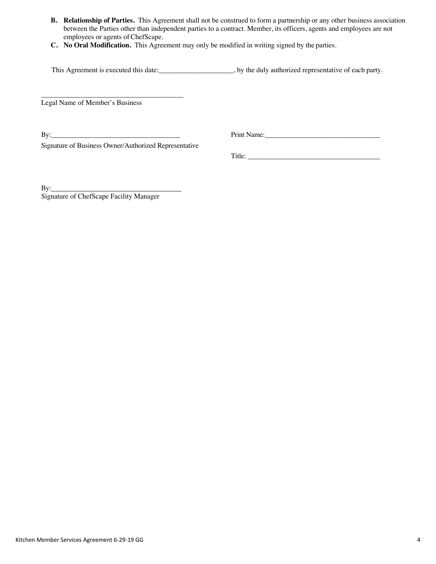- **B. Relationship of Parties.** This Agreement shall not be construed to form a partnership or any other business association between the Parties other than independent parties to a contract. Member, its officers, agents and employees are not employees or agents of ChefScape.
- **C. No Oral Modification.** This Agreement may only be modified in writing signed by the parties.

This Agreement is executed this date:\_\_\_\_\_\_\_\_\_\_\_\_\_\_\_\_\_\_, by the duly authorized representative of each party.

\_\_\_\_\_\_\_\_\_\_\_\_\_\_\_\_\_\_\_\_\_\_\_\_\_\_\_\_\_\_\_\_\_\_\_\_\_\_\_\_ Legal Name of Member's Business

By:\_\_\_\_\_\_\_\_\_\_\_\_\_\_\_\_\_\_\_\_\_\_\_\_\_\_\_\_\_\_\_\_\_\_\_\_\_ Print Name:\_\_\_\_\_\_\_\_\_\_\_\_\_\_\_\_\_\_\_\_\_\_\_\_\_\_\_\_\_\_\_\_\_

Signature of Business Owner/Authorized Representative

Title: \_\_\_\_\_\_\_\_\_\_\_\_\_\_\_\_\_\_\_\_\_\_\_\_\_\_\_\_\_\_\_\_\_\_\_\_\_\_

 $By:$ Signature of ChefScape Facility Manager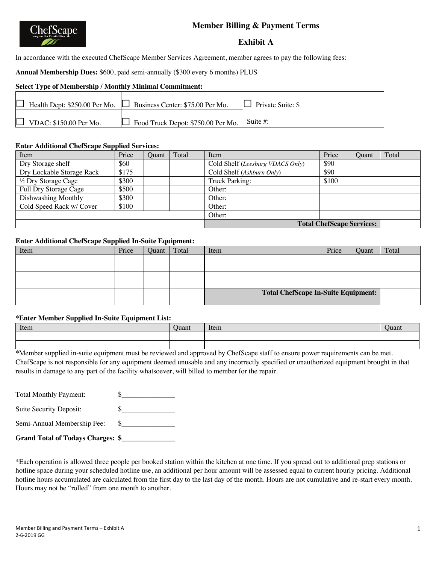# **Member Billing & Payment Terms**



### **Exhibit A**

In accordance with the executed ChefScape Member Services Agreement, member agrees to pay the following fees:

**Annual Membership Dues:** \$600, paid semi-annually (\$300 every 6 months) PLUS

## **Select Type of Membership / Monthly Minimal Commitment:**

|                               | $\Box$ Health Dept: \$250.00 Per Mo. $\Box$ Business Center: \$75.00 Per Mo. | $\Box$ Private Suite: \$ |
|-------------------------------|------------------------------------------------------------------------------|--------------------------|
| $\Box$ VDAC: \$150.00 Per Mo. | $\int$ Food Truck Depot: \$750.00 Per Mo. $\int$ Suite #:                    |                          |

#### **Enter Additional ChefScape Supplied Services:**

| Item                      | Price | Ouant | Total | Item                             | Price | Ouant | Total |
|---------------------------|-------|-------|-------|----------------------------------|-------|-------|-------|
| Dry Storage shelf         | \$60  |       |       | Cold Shelf (Leesburg VDACS Only) | \$90  |       |       |
| Dry Lockable Storage Rack | \$175 |       |       | Cold Shelf (Ashburn Only)        | \$90  |       |       |
| 1/2 Dry Storage Cage      | \$300 |       |       | Truck Parking:                   | \$100 |       |       |
| Full Dry Storage Cage     | \$500 |       |       | Other:                           |       |       |       |
| Dishwashing Monthly       | \$300 |       |       | Other:                           |       |       |       |
| Cold Speed Rack w/ Cover  | \$100 |       |       | Other:                           |       |       |       |
|                           |       |       |       | Other:                           |       |       |       |
|                           |       |       |       | <b>Total ChefScape Services:</b> |       |       |       |

#### **Enter Additional ChefScape Supplied In-Suite Equipment:**

| Item | Price | <b>Ouant</b> | Total | Item                                       | Price | Quant | Total |
|------|-------|--------------|-------|--------------------------------------------|-------|-------|-------|
|      |       |              |       |                                            |       |       |       |
|      |       |              |       |                                            |       |       |       |
|      |       |              |       |                                            |       |       |       |
|      |       |              |       |                                            |       |       |       |
|      |       |              |       | <b>Total ChefScape In-Suite Equipment:</b> |       |       |       |
|      |       |              |       |                                            |       |       |       |

#### **\*Enter Member Supplied In-Suite Equipment List:**

| Item | Juant | Item | Juan |
|------|-------|------|------|
|      |       |      |      |
|      |       |      |      |

**\***Member supplied in-suite equipment must be reviewed and approved by ChefScape staff to ensure power requirements can be met. ChefScape is not responsible for any equipment deemed unusable and any incorrectly specified or unauthorized equipment brought in that results in damage to any part of the facility whatsoever, will billed to member for the repair.

Total Monthly Payment:  $\qquad \qquad \$$ 

Suite Security Deposit:  $\qquad \qquad \$$ 

| Semi-Annual Membership Fee: \$ |  |  |
|--------------------------------|--|--|
|--------------------------------|--|--|

**Grand Total of Todays Charges: \$\_\_\_\_\_\_\_\_\_\_\_\_\_\_\_**

\*Each operation is allowed three people per booked station within the kitchen at one time. If you spread out to additional prep stations or hotline space during your scheduled hotline use, an additional per hour amount will be assessed equal to current hourly pricing. Additional hotline hours accumulated are calculated from the first day to the last day of the month. Hours are not cumulative and re-start every month. Hours may not be "rolled" from one month to another.